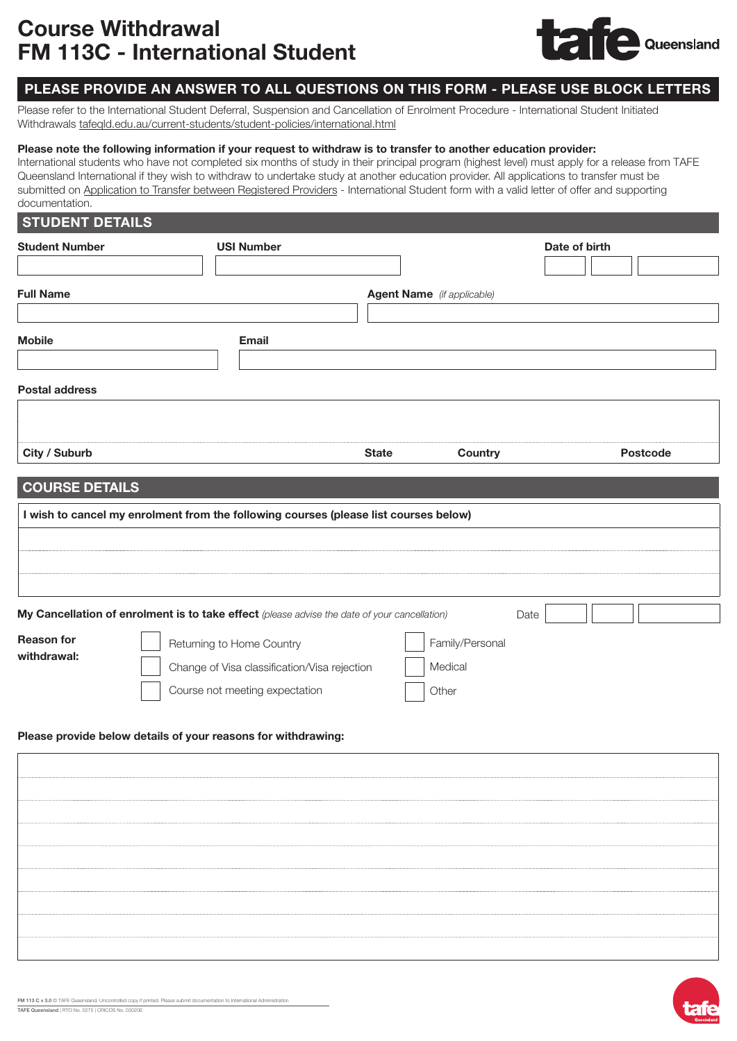# Course Withdrawal FM 113C - International Student



## PLEASE PROVIDE AN ANSWER TO ALL QUESTIONS ON THIS FORM - PLEASE USE BLOCK LETTERS

Please refer to the International Student Deferral, Suspension and Cancellation of Enrolment Procedure - International Student Initiated Withdrawals [tafeqld.edu.au/current-students/student-policies/international.html](https://tafeqld.edu.au/about-us/policy-and-governance/policies-and-procedures/student-rules-and-policies/further-information-for-international-students.html)

#### Please note the following information if your request to withdraw is to transfer to another education provider:

International students who have not completed six months of study in their principal program (highest level) must apply for a release from TAFE Queensland International if they wish to withdraw to undertake study at another education provider. All applications to transfer must be submitted on Application to [Transfer between Registered Providers](https://tafeqld.edu.au/assets/oneweb/PDF/about-us/polices-procedures/114-FM-A-Transfer-between-Registered-Providers-International-Student.pdf) - International Student form with a valid letter of offer and supporting documentation.

#### **STUDENT DETAILS**

| <b>Student Number</b><br><b>Full Name</b><br><b>Mobile</b> | <b>USI Number</b><br><b>Email</b>                                                                           | <b>Agent Name</b> (if applicable) | Date of birth   |                 |
|------------------------------------------------------------|-------------------------------------------------------------------------------------------------------------|-----------------------------------|-----------------|-----------------|
| <b>Postal address</b>                                      |                                                                                                             |                                   |                 |                 |
| City / Suburb                                              |                                                                                                             | <b>State</b>                      | Country         | <b>Postcode</b> |
| <b>COURSE DETAILS</b>                                      | I wish to cancel my enrolment from the following courses (please list courses below)                        |                                   |                 |                 |
|                                                            | My Cancellation of enrolment is to take effect (please advise the date of your cancellation)                |                                   | Date            |                 |
| <b>Reason for</b><br>withdrawal:                           | Returning to Home Country<br>Change of Visa classification/Visa rejection<br>Course not meeting expectation | Medical<br>Other                  | Family/Personal |                 |

#### Please provide below details of your reasons for withdrawing: